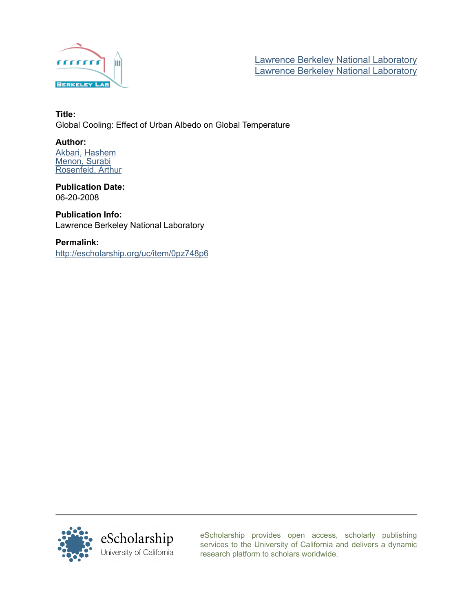

[Lawrence Berkeley National Laboratory](http://escholarship.org/uc/lbnl) [Lawrence Berkeley National Laboratory](http://escholarship.org/uc/)

## Title: Global Cooling: Effect of Urban Albedo on Global Temperature

## Author:

[Akbari, Hashem](http://escholarship.org/uc/search?creator=Akbari%2C%20Hashem) [Menon, Surabi](http://escholarship.org/uc/search?creator=Menon%2C%20Surabi) [Rosenfeld, Arthur](http://escholarship.org/uc/search?creator=Rosenfeld%2C%20Arthur)

Publication Date: 06-20-2008

Publication Info: Lawrence Berkeley National Laboratory

Permalink:

<http://escholarship.org/uc/item/0pz748p6>



[eScholarship provides open access, scholarly publishing](http://escholarship.org) [services to the University of California and delivers a dynamic](http://escholarship.org) [research platform to scholars worldwide.](http://escholarship.org)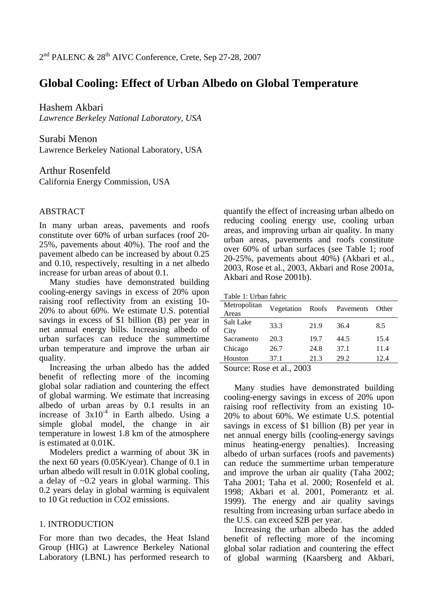# **Global Cooling: Effect of Urban Albedo on Global Temperature**

Hashem Akbari

*Lawrence Berkeley National Laboratory, USA* 

Surabi Menon Lawrence Berkeley National Laboratory, USA

Arthur Rosenfeld California Energy Commission, USA

## ABSTRACT

In many urban areas, pavements and roofs constitute over 60% of urban surfaces (roof 20- 25%, pavements about 40%). The roof and the pavement albedo can be increased by about 0.25 and 0.10, respectively, resulting in a net albedo increase for urban areas of about 0.1.

Many studies have demonstrated building cooling-energy savings in excess of 20% upon raising roof reflectivity from an existing 10- 20% to about 60%. We estimate U.S. potential savings in excess of \$1 billion (B) per year in net annual energy bills. Increasing albedo of urban surfaces can reduce the summertime urban temperature and improve the urban air quality.

Increasing the urban albedo has the added benefit of reflecting more of the incoming global solar radiation and countering the effect of global warming. We estimate that increasing albedo of urban areas by 0.1 results in an increase of  $3x10^{-4}$  in Earth albedo. Using a simple global model, the change in air temperature in lowest 1.8 km of the atmosphere is estimated at 0.01K.

Modelers predict a warming of about 3K in the next 60 years (0.05K/year). Change of 0.1 in urban albedo will result in 0.01K global cooling, a delay of ~0.2 years in global warming. This 0.2 years delay in global warming is equivalent to 10 Gt reduction in CO2 emissions.

## 1. INTRODUCTION

For more than two decades, the Heat Island Group (HIG) at Lawrence Berkeley National Laboratory (LBNL) has performed research to

quantify the effect of increasing urban albedo on reducing cooling energy use, cooling urban areas, and improving urban air quality. In many urban areas, pavements and roofs constitute over 60% of urban surfaces (see Table 1; roof 20-25%, pavements about 40%) (Akbari et al., 2003, Rose et al., 2003, Akbari and Rose 2001a, Akbari and Rose 2001b).

Table 1: Urban fabric

| Metropolitan<br>Areas | Vegetation | Roofs | Pavements | Other |  |  |
|-----------------------|------------|-------|-----------|-------|--|--|
| Salt Lake<br>City     | 33.3       | 21.9  | 36.4      | 8.5   |  |  |
| Sacramento            | 20.3       | 19.7  | 44.5      | 15.4  |  |  |
| Chicago               | 26.7       | 24.8  | 37.1      | 11.4  |  |  |
| Houston               | 37.1       | 21.3  | 29.2      | 12.4  |  |  |
| nnn<br><b>CONTACT</b> |            |       |           |       |  |  |

Source: Rose et al., 2003

Many studies have demonstrated building cooling-energy savings in excess of 20% upon raising roof reflectivity from an existing 10- 20% to about 60%. We estimate U.S. potential savings in excess of \$1 billion (B) per year in net annual energy bills (cooling-energy savings minus heating-energy penalties). Increasing albedo of urban surfaces (roofs and pavements) can reduce the summertime urban temperature and improve the urban air quality (Taha 2002; Taha 2001; Taha et al. 2000; Rosenfeld et al. 1998; Akbari et al. 2001, Pomerantz et al. 1999). The energy and air quality savings resulting from increasing urban surface abedo in the U.S. can exceed \$2B per year.

Increasing the urban albedo has the added benefit of reflecting more of the incoming global solar radiation and countering the effect of global warming (Kaarsberg and Akbari,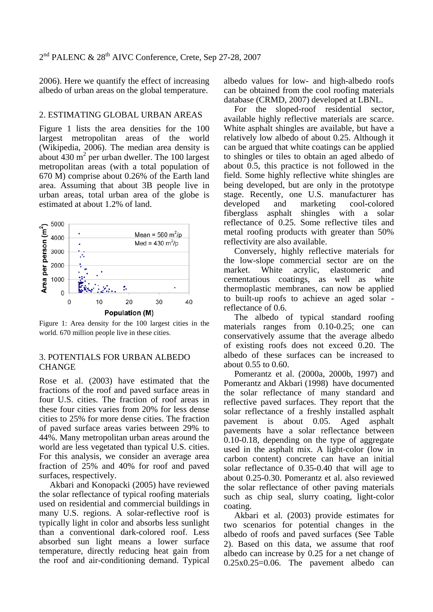2006). Here we quantify the effect of increasing albedo of urban areas on the global temperature.

#### 2. ESTIMATING GLOBAL URBAN AREAS

Figure 1 lists the area densities for the 100 largest metropolitan areas of the world (Wikipedia, 2006). The median area density is about  $430 \text{ m}^2$  per urban dweller. The 100 largest metropolitan areas (with a total population of 670 M) comprise about 0.26% of the Earth land area. Assuming that about 3B people live in urban areas, total urban area of the globe is estimated at about 1.2% of land.



Figure 1: Area density for the 100 largest cities in the world. 670 million people live in these cities.

## 3. POTENTIALS FOR URBAN ALBEDO CHANGE

Rose et al. (2003) have estimated that the fractions of the roof and paved surface areas in four U.S. cities. The fraction of roof areas in these four cities varies from 20% for less dense cities to 25% for more dense cities. The fraction of paved surface areas varies between 29% to 44%. Many metropolitan urban areas around the world are less vegetated than typical U.S. cities. For this analysis, we consider an average area fraction of 25% and 40% for roof and paved surfaces, respectively.

Akbari and Konopacki (2005) have reviewed the solar reflectance of typical roofing materials used on residential and commercial buildings in many U.S. regions. A solar-reflective roof is typically light in color and absorbs less sunlight than a conventional dark-colored roof. Less absorbed sun light means a lower surface temperature, directly reducing heat gain from the roof and air-conditioning demand. Typical

albedo values for low- and high-albedo roofs can be obtained from the cool roofing materials database (CRMD, 2007) developed at LBNL.

For the sloped-roof residential sector, available highly reflective materials are scarce. White asphalt shingles are available, but have a relatively low albedo of about 0.25. Although it can be argued that white coatings can be applied to shingles or tiles to obtain an aged albedo of about 0.5, this practice is not followed in the field. Some highly reflective white shingles are being developed, but are only in the prototype stage. Recently, one U.S. manufacturer has developed and marketing cool-colored fiberglass asphalt shingles with a solar reflectance of 0.25. Some reflective tiles and metal roofing products with greater than 50% reflectivity are also available.

Conversely, highly reflective materials for the low-slope commercial sector are on the market. White acrylic, elastomeric and cementatious coatings, as well as white thermoplastic membranes, can now be applied to built-up roofs to achieve an aged solar reflectance of 0.6.

The albedo of typical standard roofing materials ranges from 0.10-0.25; one can conservatively assume that the average albedo of existing roofs does not exceed 0.20. The albedo of these surfaces can be increased to about 0.55 to 0.60.

Pomerantz et al. (2000a, 2000b, 1997) and Pomerantz and Akbari (1998) have documented the solar reflectance of many standard and reflective paved surfaces. They report that the solar reflectance of a freshly installed asphalt pavement is about 0.05. Aged asphalt pavements have a solar reflectance between 0.10-0.18, depending on the type of aggregate used in the asphalt mix. A light-color (low in carbon content) concrete can have an initial solar reflectance of 0.35-0.40 that will age to about 0.25-0.30. Pomerantz et al. also reviewed the solar reflectance of other paving materials such as chip seal, slurry coating, light-color coating.

Akbari et al. (2003) provide estimates for two scenarios for potential changes in the albedo of roofs and paved surfaces (See Table 2). Based on this data, we assume that roof albedo can increase by 0.25 for a net change of 0.25x0.25=0.06. The pavement albedo can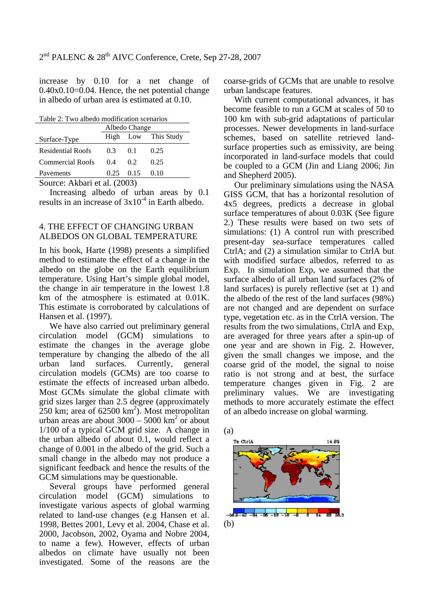increase by 0.10 for a net change of 0.40x0.10=0.04. Hence, the net potential change in albedo of urban area is estimated at 0.10.

Table 2: Two albedo modification scenarios

|                           | Albedo Change |                                                                 |                     |  |
|---------------------------|---------------|-----------------------------------------------------------------|---------------------|--|
| Surface-Type              |               |                                                                 | High Low This Study |  |
| <b>Residential Roofs</b>  | 0.3           | 0.1                                                             | 0.25                |  |
| <b>Commercial Roofs</b>   | 0.4           | 0.2                                                             | 0.25                |  |
| Pavements                 |               | $0.25 \quad 0.15$                                               | 0.10                |  |
| $\sim$ $\sim$<br>$\cdots$ |               | $\cdot$ $\cdot$ $\cdot$ $\cdot$ $\cdot$ $\cdot$ $\cdot$ $\cdot$ |                     |  |

Source: Akbari et al. (2003)

Increasing albedo of urban areas by 0.1 results in an increase of  $3x10^{-4}$  in Earth albedo.

## 4. THE EFFECT OF CHANGING URBAN ALBEDOS ON GLOBAL TEMPERATURE

In his book, Harte (1998) presents a simplified method to estimate the effect of a change in the albedo on the globe on the Earth equilibrium temperature. Using Hart's simple global model, the change in air temperature in the lowest 1.8 km of the atmosphere is estimated at 0.01K. This estimate is corroborated by calculations of Hansen et al. (1997).

We have also carried out preliminary general circulation model (GCM) simulations to estimate the changes in the average globe temperature by changing the albedo of the all urban land surfaces. Currently, general circulation models (GCMs) are too coarse to estimate the effects of increased urban albedo. Most GCMs simulate the global climate with grid sizes larger than 2.5 degree (approximately  $250 \text{ km}$ ; area of 62500 km<sup>2</sup>). Most metropolitan urban areas are about  $3000 - 5000$  km<sup>2</sup> or about 1/100 of a typical GCM grid size. A change in the urban albedo of about 0.1, would reflect a change of 0.001 in the albedo of the grid. Such a small change in the albedo may not produce a significant feedback and hence the results of the GCM simulations may be questionable.

Several groups have performed general circulation model (GCM) simulations to investigate various aspects of global warming related to land-use changes (e.g Hansen et al. 1998, Bettes 2001, Levy et al. 2004, Chase et al. 2000, Jacobson, 2002, Oyama and Nobre 2004, to name a few). However, effects of urban albedos on climate have usually not been investigated. Some of the reasons are the coarse-grids of GCMs that are unable to resolve urban landscape features.

With current computational advances, it has become feasible to run a GCM at scales of 50 to 100 km with sub-grid adaptations of particular processes. Newer developments in land-surface schemes, based on satellite retrieved landsurface properties such as emissivity, are being incorporated in land-surface models that could be coupled to a GCM (Jin and Liang 2006; Jin and Shepherd 2005).

Our preliminary simulations using the NASA GISS GCM, that has a horizontal resolution of 4x5 degrees, predicts a decrease in global surface temperatures of about 0.03K (See figure 2.) These results were based on two sets of simulations: (1) A control run with prescribed present-day sea-surface temperatures called CtrlA; and (2) a simulation similar to CtrlA but with modified surface albedos, referred to as Exp. In simulation Exp, we assumed that the surface albedo of all urban land surfaces (2% of land surfaces) is purely reflective (set at 1) and the albedo of the rest of the land surfaces (98%) are not changed and are dependent on surface type, vegetation etc. as in the CtrlA version. The results from the two simulations, CtrlA and Exp, are averaged for three years after a spin-up of one year and are shown in Fig. 2. However, given the small changes we impose, and the coarse grid of the model, the signal to noise ratio is not strong and at best, the surface temperature changes given in Fig. 2 are preliminary values. We are investigating methods to more accurately estimate the effect of an albedo increase on global warming.

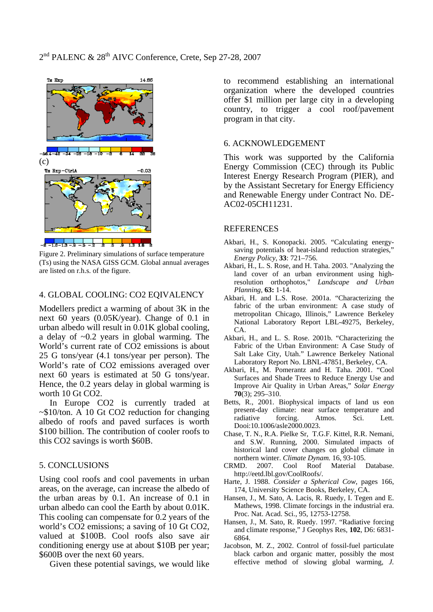

Figure 2. Preliminary simulations of surface temperature (Ts) using the NASA GISS GCM. Global annual averages are listed on r.h.s. of the figure.

#### 4. GLOBAL COOLING: CO2 EQIVALENCY

Modellers predict a warming of about 3K in the next 60 years (0.05K/year). Change of 0.1 in urban albedo will result in 0.01K global cooling, a delay of ~0.2 years in global warming. The World's current rate of CO2 emissions is about 25 G tons/year (4.1 tons/year per person). The World's rate of CO2 emissions averaged over next 60 years is estimated at 50 G tons/year. Hence, the 0.2 years delay in global warming is worth 10 Gt CO2.

In Europe CO2 is currently traded at ~\$10/ton. A 10 Gt CO2 reduction for changing albedo of roofs and paved surfaces is worth \$100 billion. The contribution of cooler roofs to this CO2 savings is worth \$60B.

#### 5. CONCLUSIONS

Using cool roofs and cool pavements in urban areas, on the average, can increase the albedo of the urban areas by 0.1. An increase of 0.1 in urban albedo can cool the Earth by about 0.01K. This cooling can compensate for 0.2 years of the world's CO2 emissions; a saving of 10 Gt CO2, valued at \$100B. Cool roofs also save air conditioning energy use at about \$10B per year; \$600B over the next 60 years.

Given these potential savings, we would like

to recommend establishing an international organization where the developed countries offer \$1 million per large city in a developing country, to trigger a cool roof/pavement program in that city.

#### 6. ACKNOWLEDGEMENT

This work was supported by the California Energy Commission (CEC) through its Public Interest Energy Research Program (PIER), and by the Assistant Secretary for Energy Efficiency and Renewable Energy under Contract No. DE-AC02-05CH11231.

#### **REFERENCES**

- Akbari, H., S. Konopacki. 2005. "Calculating energysaving potentials of heat-island reduction strategies,' *Energy Policy*, **33**: 721–756.
- Akbari, H., L. S. Rose, and H. Taha. 2003. "Analyzing the land cover of an urban environment using highresolution orthophotos," *Landscape and Urban Planning,* **63:** 1-14.
- Akbari, H. and L.S. Rose. 2001a. "Characterizing the fabric of the urban environment: A case study of metropolitan Chicago, Illinois," Lawrence Berkeley National Laboratory Report LBL-49275, Berkeley, CA.
- Akbari, H., and L. S. Rose. 2001b. "Characterizing the Fabric of the Urban Environment: A Case Study of Salt Lake City, Utah." Lawrence Berkeley National Laboratory Report No. LBNL-47851, Berkeley, CA.
- Akbari, H., M. Pomerantz and H. Taha. 2001. "Cool Surfaces and Shade Trees to Reduce Energy Use and Improve Air Quality in Urban Areas," *Solar Energy* **70**(3); 295–310.
- Betts, R., 2001. Biophysical impacts of land us eon present-day climate: near surface temperature and radiative forcing. Atmos. Sci. Lett. Dooi:10.1006/asle2000.0023.
- Chase, T. N., R.A. Pielke Sr, T.G.F. Kittel, R.R. Nemani, and S.W. Running, 2000. Simulated impacts of historical land cover changes on global climate in northern winter. *Climate Dynam.* 16, 93-105.<br> **CRMD.** 2007. Cool Roof Material
- 2007. Cool Roof Material Database. http://eetd.lbl.gov/CoolRoofs/.
- Harte, J. 1988. *Consider a Spherical Cow*, pages 166, 174, University Science Books, Berkeley, CA.
- Hansen, J., M. Sato, A. Lacis, R. Ruedy, I. Tegen and E. Mathews, 1998. Climate forcings in the industrial era. Proc. Nat. Acad. Sci., 95, 12753-12758.
- Hansen, J., M. Sato, R. Ruedy. 1997. "Radiative forcing and climate response," J Geophys Res, **102**, D6: 6831- 6864.
- Jacobson, M. Z., 2002. Control of fossil-fuel particulate black carbon and organic matter, possibly the most effective method of slowing global warming, *J.*